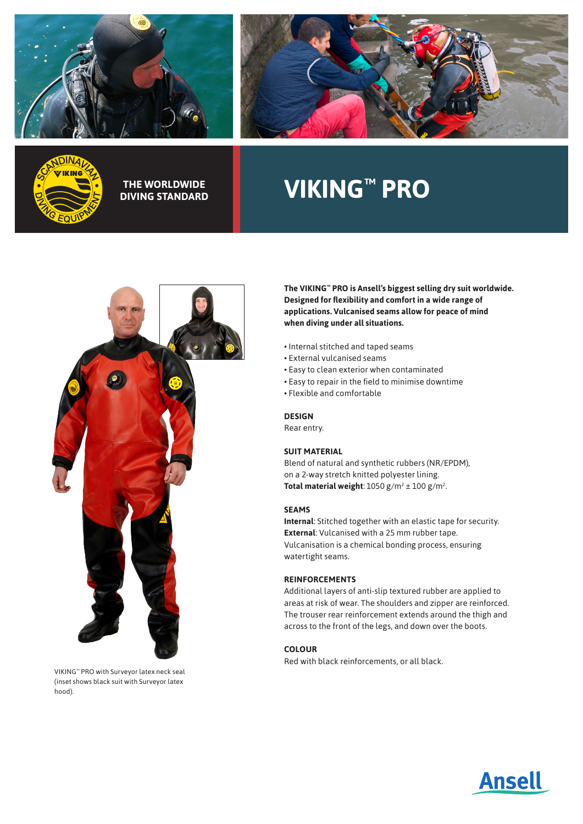





**DIVING STANDARD**

# THE WORLDWIDE **No. 2008 NO. 2018 NO. 2018 NO. 2019 NO. 2019 NO. 2019 NO. 2019 NO. 2019 NO. 2019 NO. 2019 NO. 2019**



VIKING™ PRO with Surveyor latex neck seal (inset shows black suit with Surveyor latex hood).

**The VIKING™ PRO is Ansell's biggest selling dry suit worldwide. Designed for flexibility and comfort in a wide range of applications. Vulcanised seams allow for peace of mind when diving under all situations.**

- Internal stitched and taped seams
- External vulcanised seams
- Easy to clean exterior when contaminated
- Easy to repair in the field to minimise downtime
- Flexible and comfortable

## **DESIGN**

Rear entry.

## **SUIT MATERIAL**

Blend of natural and synthetic rubbers (NR/EPDM), on a 2-way stretch knitted polyester lining. **Total material weight**:  $1050$  g/m<sup>2</sup>  $\pm$   $100$  g/m<sup>2</sup>. .

#### **SEAMS**

**Internal**: Stitched together with an elastic tape for security. **External**: Vulcanised with a 25 mm rubber tape. Vulcanisation is a chemical bonding process, ensuring watertight seams.

#### **REINFORCEMENTS**

Additional layers of anti-slip textured rubber are applied to areas at risk of wear. The shoulders and zipper are reinforced. The trouser rear reinforcement extends around the thigh and across to the front of the legs, and down over the boots.

# **COLOUR**

Red with black reinforcements, or all black.